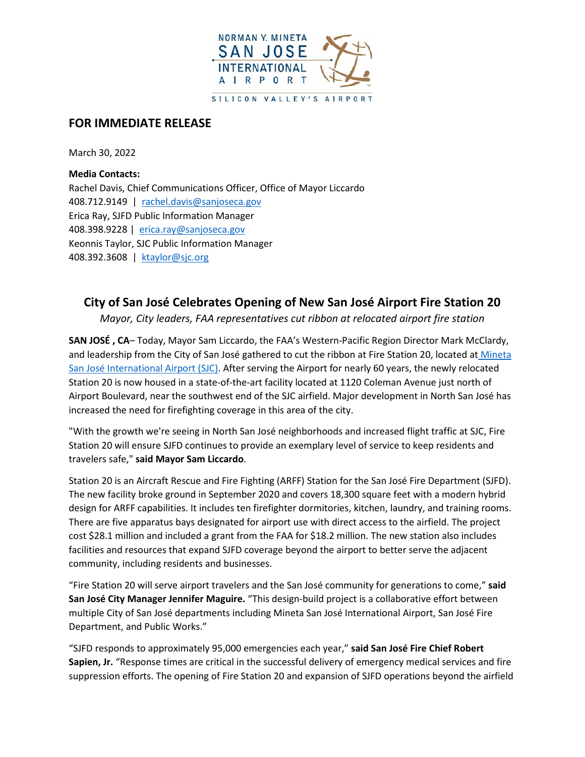

# **FOR IMMEDIATE RELEASE**

March 30, 2022

**Media Contacts:**  Rachel Davis, Chief Communications Officer, Office of Mayor Liccardo 408.712.9149 | [rachel.davis@sanjoseca.gov](mailto:rachel.davis@sanjoseca.gov) Erica Ray, SJFD Public Information Manager 408.398.9228 | [erica.ray@sanjoseca.gov](mailto:erica.ray@sanjoseca.gov) Keonnis Taylor, SJC Public Information Manager 408.392.3608 | [ktaylor@sjc.org](mailto:ktaylor@sjc.org)

## **City of San José Celebrates Opening of New San José Airport Fire Station 20**

*Mayor, City leaders, FAA representatives cut ribbon at relocated airport fire station*

**SAN JOSÉ , CA***–* Today, Mayor Sam Liccardo, the FAA's Western-Pacific Region Director Mark McClardy, and leadership from the City of San José gathered to cut the ribbon at Fire Station 20, located at [Mineta](http://www.flysanjose.com/)  [San José International Airport \(SJC\).](http://www.flysanjose.com/) After serving the Airport for nearly 60 years, the newly relocated Station 20 is now housed in a state-of-the-art facility located at 1120 Coleman Avenue just north of Airport Boulevard, near the southwest end of the SJC airfield. Major development in North San José has increased the need for firefighting coverage in this area of the city.

"With the growth we're seeing in North San José neighborhoods and increased flight traffic at SJC, Fire Station 20 will ensure SJFD continues to provide an exemplary level of service to keep residents and travelers safe," **said Mayor Sam Liccardo**.

Station 20 is an Aircraft Rescue and Fire Fighting (ARFF) Station for the San José Fire Department (SJFD). The new facility broke ground in September 2020 and covers 18,300 square feet with a modern hybrid design for ARFF capabilities. It includes ten firefighter dormitories, kitchen, laundry, and training rooms. There are five apparatus bays designated for airport use with direct access to the airfield. The project cost \$28.1 million and included a grant from the FAA for \$18.2 million. The new station also includes facilities and resources that expand SJFD coverage beyond the airport to better serve the adjacent community, including residents and businesses.

"Fire Station 20 will serve airport travelers and the San José community for generations to come," **said San José City Manager Jennifer Maguire.** "This design-build project is a collaborative effort between multiple City of San José departments including Mineta San José International Airport, San José Fire Department, and Public Works."

"SJFD responds to approximately 95,000 emergencies each year," **said San José Fire Chief Robert Sapien, Jr.** "Response times are critical in the successful delivery of emergency medical services and fire suppression efforts. The opening of Fire Station 20 and expansion of SJFD operations beyond the airfield